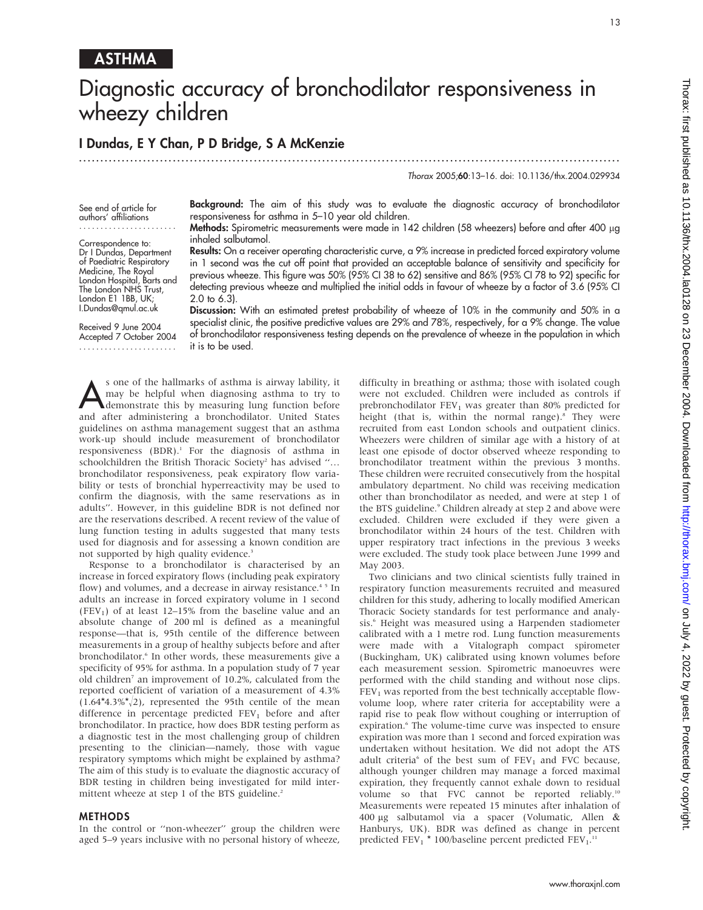## ASTHMA

# Diagnostic accuracy of bronchodilator responsiveness in wheezy children

### I Dundas, E Y Chan, P D Bridge, S A McKenzie

...............................................................................................................................

Thorax 2005;60:13–16. doi: 10.1136/thx.2004.029934

See end of article for authors' affiliations .......................

Correspondence to: Dr I Dundas, Department of Paediatric Respiratory Medicine, The Royal London Hospital, Barts and The London NHS Trust, London E1 1BB, UK; I.Dundas@qmul.ac.uk

Received 9 June 2004 Accepted 7 October 2004 .......................

Background: The aim of this study was to evaluate the diagnostic accuracy of bronchodilator responsiveness for asthma in 5–10 year old children.

Methods: Spirometric measurements were made in 142 children (58 wheezers) before and after 400 µg inhaled salbutamol.

Results: On a receiver operating characteristic curve, a 9% increase in predicted forced expiratory volume in 1 second was the cut off point that provided an acceptable balance of sensitivity and specificity for previous wheeze. This figure was 50% (95% CI 38 to 62) sensitive and 86% (95% CI 78 to 92) specific for detecting previous wheeze and multiplied the initial odds in favour of wheeze by a factor of 3.6 (95% CI 2.0 to 6.3).

Discussion: With an estimated pretest probability of wheeze of 10% in the community and 50% in a specialist clinic, the positive predictive values are 29% and 78%, respectively, for a 9% change. The value of bronchodilator responsiveness testing depends on the prevalence of wheeze in the population in which it is to be used.

Sone of the hallmarks of asthma is airway lability, it may be helpful when diagnosing asthma to try to demonstrate this by measuring lung function before may be helpful when diagnosing asthma to try to and after administering a bronchodilator. United States guidelines on asthma management suggest that an asthma work-up should include measurement of bronchodilator responsiveness  $(BDR)^{1}$ . For the diagnosis of asthma in schoolchildren the British Thoracic Society<sup>2</sup> has advised "... bronchodilator responsiveness, peak expiratory flow variability or tests of bronchial hyperreactivity may be used to confirm the diagnosis, with the same reservations as in adults''. However, in this guideline BDR is not defined nor are the reservations described. A recent review of the value of lung function testing in adults suggested that many tests used for diagnosis and for assessing a known condition are not supported by high quality evidence.<sup>3</sup>

Response to a bronchodilator is characterised by an increase in forced expiratory flows (including peak expiratory flow) and volumes, and a decrease in airway resistance.<sup>45</sup> In adults an increase in forced expiratory volume in 1 second (FEV<sub>1</sub>) of at least 12–15% from the baseline value and an absolute change of 200 ml is defined as a meaningful response—that is, 95th centile of the difference between measurements in a group of healthy subjects before and after bronchodilator.<sup>6</sup> In other words, these measurements give a specificity of 95% for asthma. In a population study of 7 year old children<sup>7</sup> an improvement of 10.2%, calculated from the reported coefficient of variation of a measurement of 4.3%  $(1.64*4.3\%/2)$ , represented the 95th centile of the mean difference in percentage predicted  $FEV<sub>1</sub>$  before and after bronchodilator. In practice, how does BDR testing perform as a diagnostic test in the most challenging group of children presenting to the clinician—namely, those with vague respiratory symptoms which might be explained by asthma? The aim of this study is to evaluate the diagnostic accuracy of BDR testing in children being investigated for mild intermittent wheeze at step 1 of the BTS guideline.<sup>2</sup>

#### **METHODS**

In the control or ''non-wheezer'' group the children were aged 5–9 years inclusive with no personal history of wheeze, difficulty in breathing or asthma; those with isolated cough were not excluded. Children were included as controls if prebronchodilator  $FEV<sub>1</sub>$  was greater than 80% predicted for height (that is, within the normal range).<sup>8</sup> They were recruited from east London schools and outpatient clinics. Wheezers were children of similar age with a history of at least one episode of doctor observed wheeze responding to bronchodilator treatment within the previous 3 months. These children were recruited consecutively from the hospital ambulatory department. No child was receiving medication other than bronchodilator as needed, and were at step 1 of the BTS guideline.<sup>9</sup> Children already at step 2 and above were excluded. Children were excluded if they were given a bronchodilator within 24 hours of the test. Children with upper respiratory tract infections in the previous 3 weeks were excluded. The study took place between June 1999 and May 2003.

Two clinicians and two clinical scientists fully trained in respiratory function measurements recruited and measured children for this study, adhering to locally modified American Thoracic Society standards for test performance and analysis.<sup>6</sup> Height was measured using a Harpenden stadiometer calibrated with a 1 metre rod. Lung function measurements were made with a Vitalograph compact spirometer (Buckingham, UK) calibrated using known volumes before each measurement session. Spirometric manoeuvres were performed with the child standing and without nose clips.  $FEV<sub>1</sub>$  was reported from the best technically acceptable flowvolume loop, where rater criteria for acceptability were a rapid rise to peak flow without coughing or interruption of expiration.<sup>6</sup> The volume-time curve was inspected to ensure expiration was more than 1 second and forced expiration was undertaken without hesitation. We did not adopt the ATS adult criteria<sup>6</sup> of the best sum of  $FEV<sub>1</sub>$  and FVC because, although younger children may manage a forced maximal expiration, they frequently cannot exhale down to residual volume so that FVC cannot be reported reliably.<sup>10</sup> Measurements were repeated 15 minutes after inhalation of 400 mg salbutamol via a spacer (Volumatic, Allen & Hanburys, UK). BDR was defined as change in percent predicted  $FEV_1 * 100/b$ aseline percent predicted  $FEV_1$ .<sup>11</sup>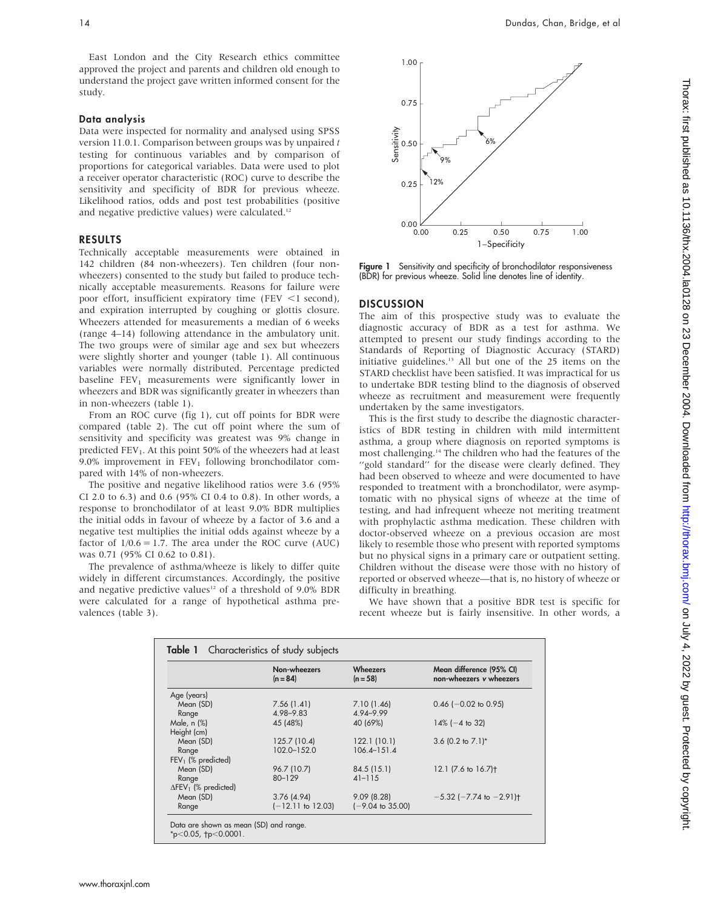East London and the City Research ethics committee approved the project and parents and children old enough to understand the project gave written informed consent for the study.

#### Data analysis

Data were inspected for normality and analysed using SPSS version 11.0.1. Comparison between groups was by unpaired t testing for continuous variables and by comparison of proportions for categorical variables. Data were used to plot a receiver operator characteristic (ROC) curve to describe the sensitivity and specificity of BDR for previous wheeze. Likelihood ratios, odds and post test probabilities (positive and negative predictive values) were calculated.<sup>12</sup>

#### RESULTS

Technically acceptable measurements were obtained in 142 children (84 non-wheezers). Ten children (four nonwheezers) consented to the study but failed to produce technically acceptable measurements. Reasons for failure were poor effort, insufficient expiratory time (FEV  $\leq$ 1 second), and expiration interrupted by coughing or glottis closure. Wheezers attended for measurements a median of 6 weeks (range 4–14) following attendance in the ambulatory unit. The two groups were of similar age and sex but wheezers were slightly shorter and younger (table 1). All continuous variables were normally distributed. Percentage predicted baseline  $FEV<sub>1</sub>$  measurements were significantly lower in wheezers and BDR was significantly greater in wheezers than in non-wheezers (table 1).

From an ROC curve (fig 1), cut off points for BDR were compared (table 2). The cut off point where the sum of sensitivity and specificity was greatest was 9% change in predicted  $FEV<sub>1</sub>$ . At this point 50% of the wheezers had at least 9.0% improvement in  $FEV<sub>1</sub>$  following bronchodilator compared with 14% of non-wheezers.

The positive and negative likelihood ratios were 3.6 (95% CI 2.0 to 6.3) and 0.6 (95% CI 0.4 to 0.8). In other words, a response to bronchodilator of at least 9.0% BDR multiplies the initial odds in favour of wheeze by a factor of 3.6 and a negative test multiplies the initial odds against wheeze by a factor of  $1/0.6 = 1.7$ . The area under the ROC curve (AUC) was 0.71 (95% CI 0.62 to 0.81).

The prevalence of asthma/wheeze is likely to differ quite widely in different circumstances. Accordingly, the positive and negative predictive values<sup>12</sup> of a threshold of 9.0% BDR were calculated for a range of hypothetical asthma prevalences (table 3).



Figure 1 Sensitivity and specificity of bronchodilator responsiveness (BDR) for previous wheeze. Solid line denotes line of identity.

#### **DISCUSSION**

The aim of this prospective study was to evaluate the diagnostic accuracy of BDR as a test for asthma. We attempted to present our study findings according to the Standards of Reporting of Diagnostic Accuracy (STARD) initiative guidelines.<sup>13</sup> All but one of the 25 items on the STARD checklist have been satisfied. It was impractical for us to undertake BDR testing blind to the diagnosis of observed wheeze as recruitment and measurement were frequently undertaken by the same investigators.

This is the first study to describe the diagnostic characteristics of BDR testing in children with mild intermittent asthma, a group where diagnosis on reported symptoms is most challenging.14 The children who had the features of the ''gold standard'' for the disease were clearly defined. They had been observed to wheeze and were documented to have responded to treatment with a bronchodilator, were asymptomatic with no physical signs of wheeze at the time of testing, and had infrequent wheeze not meriting treatment with prophylactic asthma medication. These children with doctor-observed wheeze on a previous occasion are most likely to resemble those who present with reported symptoms but no physical signs in a primary care or outpatient setting. Children without the disease were those with no history of reported or observed wheeze—that is, no history of wheeze or difficulty in breathing.

We have shown that a positive BDR test is specific for recent wheeze but is fairly insensitive. In other words, a

|                                         | Non-wheezers<br>$(n = 84)$ | Wheezers<br>$(n = 58)$      | Mean difference (95% CI)<br>non-wheezers v wheezers |
|-----------------------------------------|----------------------------|-----------------------------|-----------------------------------------------------|
| Age (years)                             |                            |                             |                                                     |
| Mean (SD)                               | 7.56(1.41)                 | 7.10 (1.46)                 | $0.46$ (-0.02 to 0.95)                              |
| Range                                   | 4.98-9.83                  | 4.94-9.99                   |                                                     |
| Male, n (%)                             | 45 (48%)                   | 40 (69%)                    | $14\%$ (-4 to 32)                                   |
| Height (cm)                             |                            |                             |                                                     |
| Mean (SD)                               | 125.7 (10.4)               | 122.1(10.1)                 | 3.6 $(0.2 \text{ to } 7.1)^*$                       |
| Range                                   | 102.0-152.0                | $106.4 - 151.4$             |                                                     |
| $FEV1$ (% predicted)                    |                            |                             |                                                     |
| Mean (SD)                               | 96.7 (10.7)                | 84.5 (15.1)                 | 12.1 $(7.6 \text{ to } 16.7)$ <sup>+</sup>          |
| Range                                   | $80 - 129$                 | $41 - 115$                  |                                                     |
| $\Delta$ FEV <sub>1</sub> (% predicted) |                            |                             |                                                     |
| Mean (SD)                               | 3.76(4.94)                 | 9.09(8.28)                  | $-5.32$ ( $-7.74$ to $-2.91$ ) <sup>+</sup>         |
| Range                                   | $(-12.11$ to 12.03)        | $(-9.04 \text{ to } 35.00)$ |                                                     |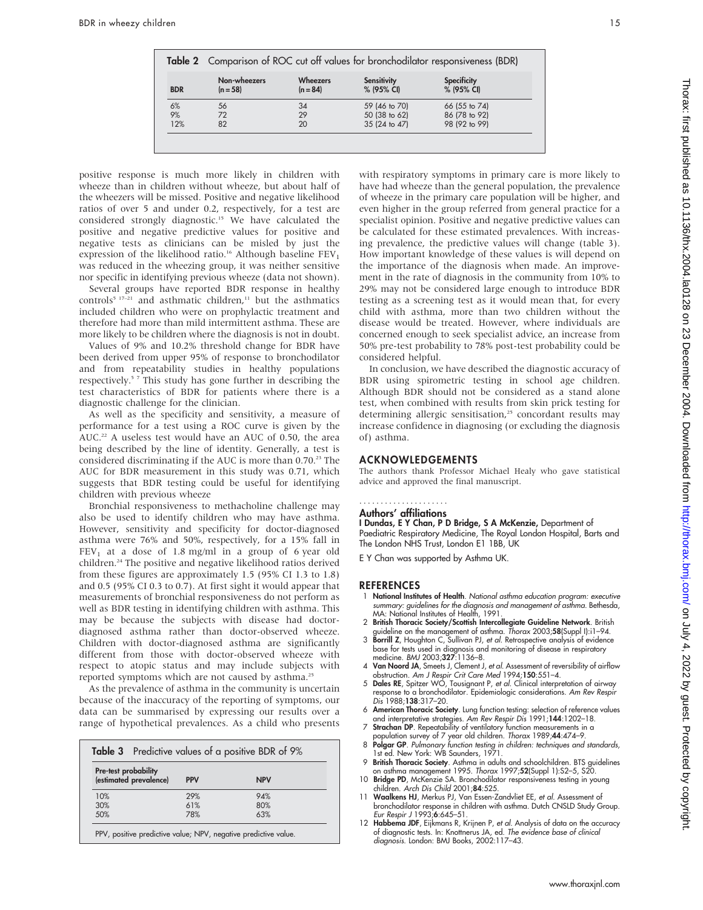|            | Table 2 Comparison of ROC cut off values for bronchodilator responsiveness (BDR) |                               |                                  |                                  |  |  |
|------------|----------------------------------------------------------------------------------|-------------------------------|----------------------------------|----------------------------------|--|--|
| <b>BDR</b> | Non-wheezers<br>$(n = 58)$                                                       | <b>Wheezers</b><br>$(n = 84)$ | <b>Sensitivity</b><br>% (95% CI) | <b>Specificity</b><br>% (95% CI) |  |  |
| 6%         | 56                                                                               | 34                            | 59 (46 to 70)                    | 66 (55 to 74)                    |  |  |
| 9%         | 72                                                                               | 29                            | 50 (38 to 62)                    | 86 (78 to 92)                    |  |  |
| 12%        | 82                                                                               | 20                            | 35 (24 to 47)                    | 98 (92 to 99)                    |  |  |

positive response is much more likely in children with wheeze than in children without wheeze, but about half of the wheezers will be missed. Positive and negative likelihood ratios of over 5 and under 0.2, respectively, for a test are considered strongly diagnostic.15 We have calculated the positive and negative predictive values for positive and negative tests as clinicians can be misled by just the expression of the likelihood ratio.<sup>16</sup> Although baseline  $FEV<sub>1</sub>$ was reduced in the wheezing group, it was neither sensitive nor specific in identifying previous wheeze (data not shown).

Several groups have reported BDR response in healthy controls<sup>5 17-21</sup> and asthmatic children,<sup>11</sup> but the asthmatics included children who were on prophylactic treatment and therefore had more than mild intermittent asthma. These are more likely to be children where the diagnosis is not in doubt.

Values of 9% and 10.2% threshold change for BDR have been derived from upper 95% of response to bronchodilator and from repeatability studies in healthy populations respectively.<sup>57</sup> This study has gone further in describing the test characteristics of BDR for patients where there is a diagnostic challenge for the clinician.

As well as the specificity and sensitivity, a measure of performance for a test using a ROC curve is given by the AUC.<sup>22</sup> A useless test would have an AUC of 0.50, the area being described by the line of identity. Generally, a test is considered discriminating if the AUC is more than 0.70.<sup>23</sup> The AUC for BDR measurement in this study was 0.71, which suggests that BDR testing could be useful for identifying children with previous wheeze

Bronchial responsiveness to methacholine challenge may also be used to identify children who may have asthma. However, sensitivity and specificity for doctor-diagnosed asthma were 76% and 50%, respectively, for a 15% fall in  $FEV<sub>1</sub>$  at a dose of 1.8 mg/ml in a group of 6 year old children.24 The positive and negative likelihood ratios derived from these figures are approximately 1.5 (95% CI 1.3 to 1.8) and 0.5 (95% CI 0.3 to 0.7). At first sight it would appear that measurements of bronchial responsiveness do not perform as well as BDR testing in identifying children with asthma. This may be because the subjects with disease had doctordiagnosed asthma rather than doctor-observed wheeze. Children with doctor-diagnosed asthma are significantly different from those with doctor-observed wheeze with respect to atopic status and may include subjects with reported symptoms which are not caused by asthma.<sup>25</sup>

As the prevalence of asthma in the community is uncertain because of the inaccuracy of the reporting of symptoms, our data can be summarised by expressing our results over a range of hypothetical prevalences. As a child who presents

| <b>Pre-test probability</b> |            |            |  |  |  |
|-----------------------------|------------|------------|--|--|--|
| (estimated prevalence)      | <b>PPV</b> | <b>NPV</b> |  |  |  |
| 10%                         | 29%        | 94%        |  |  |  |
| 30%                         | 61%        | 80%        |  |  |  |
| 50%                         | 78%        | 6.3%       |  |  |  |

with respiratory symptoms in primary care is more likely to have had wheeze than the general population, the prevalence of wheeze in the primary care population will be higher, and even higher in the group referred from general practice for a specialist opinion. Positive and negative predictive values can be calculated for these estimated prevalences. With increasing prevalence, the predictive values will change (table 3). How important knowledge of these values is will depend on the importance of the diagnosis when made. An improvement in the rate of diagnosis in the community from 10% to 29% may not be considered large enough to introduce BDR testing as a screening test as it would mean that, for every child with asthma, more than two children without the disease would be treated. However, where individuals are concerned enough to seek specialist advice, an increase from 50% pre-test probability to 78% post-test probability could be considered helpful.

In conclusion, we have described the diagnostic accuracy of BDR using spirometric testing in school age children. Although BDR should not be considered as a stand alone test, when combined with results from skin prick testing for determining allergic sensitisation,<sup>25</sup> concordant results may increase confidence in diagnosing (or excluding the diagnosis of) asthma.

#### ACKNOWLEDGEMENTS

The authors thank Professor Michael Healy who gave statistical advice and approved the final manuscript.

#### Authors' affiliations .....................

I Dundas, E Y Chan, P D Bridge, S A McKenzie, Department of Paediatric Respiratory Medicine, The Royal London Hospital, Barts and The London NHS Trust, London E1 1BB, UK

E Y Chan was supported by Asthma UK.

#### **REFERENCES**

- National Institutes of Health. National asthma education program: executive summary: guidelines for the diagnosis and management of asthma. Bethesda,
- MA: National Institutes of Health, 1991.<br>2 British Thoracic Society/Scottish Intercollegiate Guideline Network. British<br>guideline on the management of asthma. Thorax 2003;58(Suppl I):i1–94.<br>3 Borrill Z, Houghton C, Sulliva
- base for tests used in diagnosis and monitoring of disease in respiratory medicine. BMJ 2003;327:1136–8.
- 4 Van Noord JA, Smeets J, Clement J, et al. Assessment of reversibility of airflow obstruction. Am J Respir Crit Care Med 1994;150:551–4.
- 5 Dales RE, Spitzer WO, Tousignant P, et al. Clinical interpretation of airway response to a bronchodilator. Epidemiologic considerations. Am Rev Respir Dis 1988;138:317–20.
- 6 American Thoracic Society. Lung function testing: selection of reference values and interpretative strategies. Am Rev Respir Dis 1991;144:1202–18.
- 7 Strachan DP. Repeatability of ventilatory function measurements in a pulation survey of 7 year old children. Thorax 1989;44:474-9.
- 8 Polgar GP. Pulmonary function testing in children: techniques and standards, 1st ed. New York: WB Saunders, 1971.
- 9 British Thoracic Society. Asthma in adults and schoolchildren. BTS guidelines on asthma management 1995. Thorax 1997;52(Suppl 1):S2–5, S20.
- 10 Bridge PD, McKenzie SA. Bronchodilator responsiveness testing in young children. Arch Dis Child 2001;84:525.
- 11 Waalkens HJ, Merkus PJ, Van Essen-Zandvliet EE, et al. Assessment of bronchodilator response in children with asthma. Dutch CNSLD Study Group. Eur Respir J 1993;6:645–51.
- 12 Habbema JDF, Eijkmans R, Krijnen P, et al. Analysis of data on the accuracy of diagnostic tests. In: Knottnerus JA, ed. The evidence base of clinical diagnosis. London: BMJ Books, 2002:117–43.